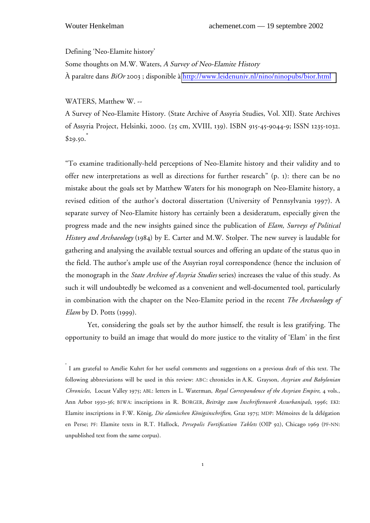Defining 'Neo-Elamite history'

Some thoughts on M.W. Waters, A Survey of Neo-Elamite History À paraître dans *BiOr* 2003 ; disponible à<http://www.leidenuniv.nl/nino/ninopubs/bior.html>

WATERS, Matthew W. --

A Survey of Neo-Elamite History. (State Archive of Assyria Studies, Vol. XII). State Archives of Assyria Project, Helsinki, 2000. (25 cm, XVIII, 139). ISBN 915-45-9044-9; ISSN 1235-1032.  $$29.50.$ 

"To examine traditionally-held perceptions of Neo-Elamite history and their validity and to offer new interpretations as well as directions for further research" (p. 1): there can be no mistake about the goals set by Matthew Waters for his monograph on Neo-Elamite history, a revised edition of the author's doctoral dissertation (University of Pennsylvania 1997). A separate survey of Neo-Elamite history has certainly been a desideratum, especially given the progress made and the new insights gained since the publication of *Elam, Surveys of Political History and Archaeology* (1984) by E. Carter and M.W. Stolper. The new survey is laudable for gathering and analysing the available textual sources and offering an update of the status quo in the field. The author's ample use of the Assyrian royal correspondence (hence the inclusion of the monograph in the *State Archive of Assyria Studies* series) increases the value of this study. As such it will undoubtedly be welcomed as a convenient and well-documented tool, particularly in combination with the chapter on the Neo-Elamite period in the recent *The Archaeology of Elam* by D. Potts (1999).

Yet, considering the goals set by the author himself, the result is less gratifying. The opportunity to build an image that would do more justice to the vitality of 'Elam' in the first

<sup>\*</sup> I am grateful to Amélie Kuhrt for her useful comments and suggestions on a previous draft of this text. The following abbreviations will be used in this review: ABC: chronicles in A.K. Grayson, *Assyrian and Babylonian Chronicles*, Locust Valley 1975; ABL: letters in L. Waterman, *Royal Correspondence of the Assyrian Empire*, 4 vols., Ann Arbor 1930-36; BIWA: inscriptions in R. BORGER, *Beiträge zum Inschriftenwerk Assurbanipals*, 1996; EKI: Elamite inscriptions in F.W. König, *Die elamischen Königsinschriften*, Graz 1975; MDP: Mémoires de la délégation en Perse; PF: Elamite texts in R.T. Hallock, *Persepolis Fortification Tablets* (OIP 92), Chicago 1969 (PF-NN: unpublished text from the same corpus).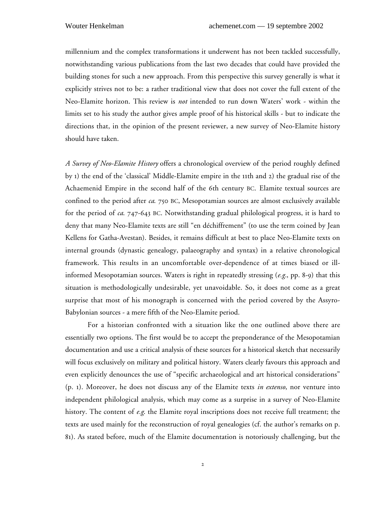millennium and the complex transformations it underwent has not been tackled successfully, notwithstanding various publications from the last two decades that could have provided the building stones for such a new approach. From this perspective this survey generally is what it explicitly strives not to be: a rather traditional view that does not cover the full extent of the Neo-Elamite horizon. This review is *not* intended to run down Waters' work - within the limits set to his study the author gives ample proof of his historical skills - but to indicate the directions that, in the opinion of the present reviewer, a new survey of Neo-Elamite history should have taken.

*A Survey of Neo-Elamite History* offers a chronological overview of the period roughly defined by 1) the end of the 'classical' Middle-Elamite empire in the 11th and 2) the gradual rise of the Achaemenid Empire in the second half of the 6th century BC. Elamite textual sources are confined to the period after *ca*. 750 BC, Mesopotamian sources are almost exclusively available for the period of *ca*. 747-643 BC. Notwithstanding gradual philological progress, it is hard to deny that many Neo-Elamite texts are still "en déchiffrement" (to use the term coined by Jean Kellens for Gatha-Avestan). Besides, it remains difficult at best to place Neo-Elamite texts on internal grounds (dynastic genealogy, palaeography and syntax) in a relative chronological framework. This results in an uncomfortable over-dependence of at times biased or illinformed Mesopotamian sources. Waters is right in repeatedly stressing (*e.g.*, pp. 8-9) that this situation is methodologically undesirable, yet unavoidable. So, it does not come as a great surprise that most of his monograph is concerned with the period covered by the Assyro-Babylonian sources - a mere fifth of the Neo-Elamite period.

For a historian confronted with a situation like the one outlined above there are essentially two options. The first would be to accept the preponderance of the Mesopotamian documentation and use a critical analysis of these sources for a historical sketch that necessarily will focus exclusively on military and political history. Waters clearly favours this approach and even explicitly denounces the use of "specific archaeological and art historical considerations" (p. 1). Moreover, he does not discuss any of the Elamite texts *in extenso*, nor venture into independent philological analysis, which may come as a surprise in a survey of Neo-Elamite history. The content of *e.g*. the Elamite royal inscriptions does not receive full treatment; the texts are used mainly for the reconstruction of royal genealogies (cf. the author's remarks on p. 81). As stated before, much of the Elamite documentation is notoriously challenging, but the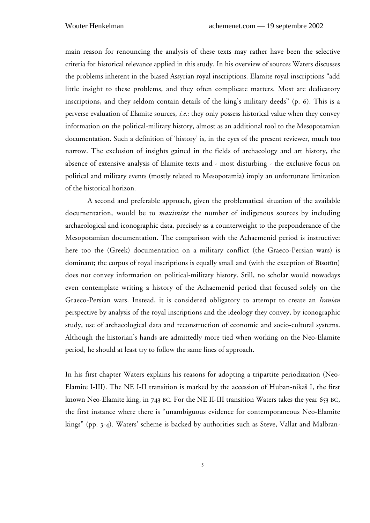main reason for renouncing the analysis of these texts may rather have been the selective criteria for historical relevance applied in this study. In his overview of sources Waters discusses the problems inherent in the biased Assyrian royal inscriptions. Elamite royal inscriptions "add little insight to these problems, and they often complicate matters. Most are dedicatory inscriptions, and they seldom contain details of the king's military deeds" (p. 6). This is a perverse evaluation of Elamite sources, *i.e.*: they only possess historical value when they convey information on the political-military history, almost as an additional tool to the Mesopotamian documentation. Such a definition of 'history' is, in the eyes of the present reviewer, much too narrow. The exclusion of insights gained in the fields of archaeology and art history, the absence of extensive analysis of Elamite texts and - most disturbing - the exclusive focus on political and military events (mostly related to Mesopotamia) imply an unfortunate limitation of the historical horizon.

A second and preferable approach, given the problematical situation of the available documentation, would be to *maximize* the number of indigenous sources by including archaeological and iconographic data, precisely as a counterweight to the preponderance of the Mesopotamian documentation. The comparison with the Achaemenid period is instructive: here too the (Greek) documentation on a military conflict (the Graeco-Persian wars) is dominant; the corpus of royal inscriptions is equally small and (with the exception of Bisotūn) does not convey information on political-military history. Still, no scholar would nowadays even contemplate writing a history of the Achaemenid period that focused solely on the Graeco-Persian wars. Instead, it is considered obligatory to attempt to create an *Iranian* perspective by analysis of the royal inscriptions and the ideology they convey, by iconographic study, use of archaeological data and reconstruction of economic and socio-cultural systems. Although the historian's hands are admittedly more tied when working on the Neo-Elamite period, he should at least try to follow the same lines of approach.

In his first chapter Waters explains his reasons for adopting a tripartite periodization (Neo-Elamite I-III). The NE I-II transition is marked by the accession of Huban-nikas I, the first known Neo-Elamite king, in 743 BC. For the NE II-III transition Waters takes the year 653 BC, the first instance where there is "unambiguous evidence for contemporaneous Neo-Elamite kings" (pp. 3-4). Waters' scheme is backed by authorities such as Steve, Vallat and Malbran-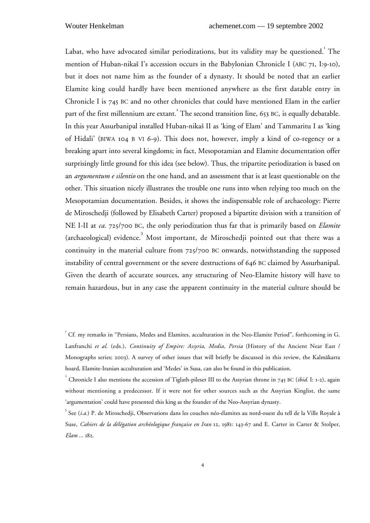Labat, who have advocated similar periodizations, but its validity may be questioned. The mention of Huban-nikaš I's accession occurs in the Babylonian Chronicle I (ABC 71, I:9-10), but it does not name him as the founder of a dynasty. It should be noted that an earlier Elamite king could hardly have been mentioned anywhere as the first datable entry in Chronicle I is 745 BC and no other chronicles that could have mentioned Elam in the earlier part of the first millennium are extant.<sup>2</sup> The second transition line, 653 BC, is equally debatable. In this year Assurbanipal installed Huban-nikas II as 'king of Elam' and Tammaritu I as 'king of Hidali' (BIWA 104 B VI 6-9). This does not, however, imply a kind of co-regency or a breaking apart into several kingdoms; in fact, Mesopotamian and Elamite documentation offer surprisingly little ground for this idea (see below). Thus, the tripartite periodization is based on an *argumentum e silentio* on the one hand, and an assessment that is at least questionable on the other. This situation nicely illustrates the trouble one runs into when relying too much on the Mesopotamian documentation. Besides, it shows the indispensable role of archaeology: Pierre de Miroschedji (followed by Elisabeth Carter) proposed a bipartite division with a transition of NE I-II at *ca.* 725/700 BC, the only periodization thus far that is primarily based on *Elamite* (archaeological) evidence.<sup>3</sup> Most important, de Miroschedji pointed out that there was a continuity in the material culture from 725/700 BC onwards, notwithstanding the supposed instability of central government or the severe destructions of 646 BC claimed by Assurbanipal. Given the dearth of accurate sources, any structuring of Neo-Elamite history will have to remain hazardous, but in any case the apparent continuity in the material culture should be

<sup>&</sup>lt;sup>1</sup> Cf. my remarks in "Persians, Medes and Elamites, acculturation in the Neo-Elamite Period", forthcoming in G. Lanfranchi *et al.* (eds.), *Continuity of Empire: Assyria, Media, Persia* (History of the Ancient Near East / Monographs series; 2003). A survey of other issues that will briefly be discussed in this review, the Kalmakarra hoard, Elamite-Iranian acculturation and 'Medes' in Susa, can also be found in this publication.

<sup>&</sup>lt;sup>2</sup> Chronicle I also mentions the accession of Tiglath-pileser III to the Assyrian throne in 745 BC (*ibid.* I: 1-2), again without mentioning a predecessor. If it were not for other sources such as the Assyrian Kinglist, the same 'argumentation' could have presented this king as the founder of the Neo-Assyrian dynasty.

<sup>3</sup> See (*i.a.*) P. de Miroschedji, Observations dans les couches néo-élamites au nord-ouest du tell de la Ville Royale à Suse, *Cahiers de la délégation archéologique française en Iran* 12, 1981: 143-67 and E. Carter in Carter & Stolper, *Elam ...* 182.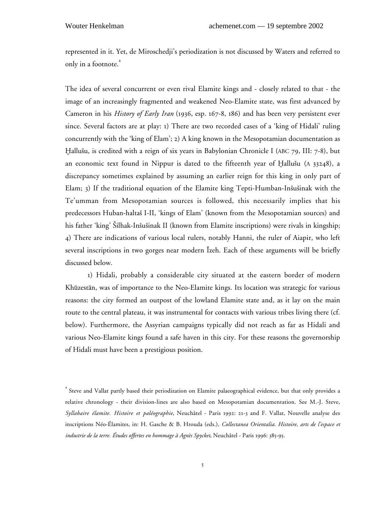represented in it. Yet, de Miroschedji's periodization is not discussed by Waters and referred to only in a footnote.<sup>4</sup>

The idea of several concurrent or even rival Elamite kings and - closely related to that - the image of an increasingly fragmented and weakened Neo-Elamite state, was first advanced by Cameron in his *History of Early Iran* (1936, esp. 167-8, 186) and has been very persistent ever since. Several factors are at play: 1) There are two recorded cases of a 'king of Hidali' ruling concurrently with the 'king of Elam'; 2) A king known in the Mesopotamian documentation as Hallušu, is credited with a reign of six years in Babylonian Chronicle I (ABC 79, III: 7-8), but an economic text found in Nippur is dated to the fifteenth year of Hallušu (A 33248), a discrepancy sometimes explained by assuming an earlier reign for this king in only part of Elam; 3) If the traditional equation of the Elamite king Tepti-Humban-Insusinak with the Te'umman from Mesopotamian sources is followed, this necessarily implies that his predecessors Huban-haltas I-II, 'kings of Elam' (known from the Mesopotamian sources) and his father 'king' Šilhak-Inšušinak II (known from Elamite inscriptions) were rivals in kingship; 4) There are indications of various local rulers, notably Hanni, the ruler of Aiapir, who left several inscriptions in two gorges near modern Izeh. Each of these arguments will be briefly discussed below.

1) Hidali, probably a considerable city situated at the eastern border of modern Khuzestan, was of importance to the Neo-Elamite kings. Its location was strategic for various reasons: the city formed an outpost of the lowland Elamite state and, as it lay on the main route to the central plateau, it was instrumental for contacts with various tribes living there (cf. below). Furthermore, the Assyrian campaigns typically did not reach as far as Hidali and various Neo-Elamite kings found a safe haven in this city. For these reasons the governorship of Hidali must have been a prestigious position.

<sup>4</sup> Steve and Vallat partly based their periodization on Elamite palaeographical evidence, but that only provides a relative chronology - their division-lines are also based on Mesopotamian documentation. See M.-J. Steve, *Syllabaire élamite. Histoire et paléographie*, Neuchâtel - Paris 1992: 21-3 and F. Vallat, Nouvelle analyse des inscriptions Néo-Élamites, in: H. Gasche & B. Hrouda (eds.), *Collectanea Orientalia. Histoire, arts de l'espace et industrie de la terre. Études offertes en hommage à Agnès Spycket*, Neuchâtel - Paris 1996: 385-95.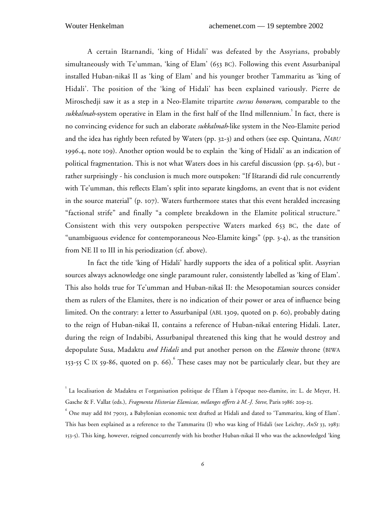A certain Istarnandi, 'king of Hidali' was defeated by the Assyrians, probably simultaneously with Te'umman, 'king of Elam' (653 BC). Following this event Assurbanipal installed Huban-nikas II as 'king of Elam' and his younger brother Tammaritu as 'king of Hidali'. The position of the 'king of Hidali' has been explained variously. Pierre de Miroschedji saw it as a step in a Neo-Elamite tripartite *cursus honorum*, comparable to the sukkalmah-system operative in Elam in the first half of the IInd millennium.<sup>5</sup> In fact, there is no convincing evidence for such an elaborate *sukkalmah*-like system in the Neo-Elamite period and the idea has rightly been refuted by Waters (pp. 32-3) and others (see esp. Quintana, *NABU* 1996.4, note 109). Another option would be to explain the 'king of Hidali' as an indication of political fragmentation. This is not what Waters does in his careful discussion (pp. 54-6), but rather surprisingly - his conclusion is much more outspoken: "If Ištarandi did rule concurrently with Te'umman, this reflects Elam's split into separate kingdoms, an event that is not evident in the source material" (p. 107). Waters furthermore states that this event heralded increasing "factional strife" and finally "a complete breakdown in the Elamite political structure." Consistent with this very outspoken perspective Waters marked 653 BC, the date of "unambiguous evidence for contemporaneous Neo-Elamite kings" (pp. 3-4), as the transition from NE II to III in his periodization (cf. above).

In fact the title 'king of Hidali' hardly supports the idea of a political split. Assyrian sources always acknowledge one single paramount ruler, consistently labelled as 'king of Elam'. This also holds true for Te'umman and Huban-nikas II: the Mesopotamian sources consider them as rulers of the Elamites, there is no indication of their power or area of influence being limited. On the contrary: a letter to Assurbanipal (ABL 1309, quoted on p. 60), probably dating to the reign of Huban-nikas II, contains a reference of Huban-nikas entering Hidali. Later, during the reign of Indabibi, Assurbanipal threatened this king that he would destroy and depopulate Susa, Madaktu *and Hidali* and put another person on the *Elamite* throne (BIWA 153-55 C IX 59-86, quoted on p. 66). These cases may not be particularly clear, but they are

<sup>5</sup> La localisation de Madaktu et l'organisation politique de l'Élam à l'époque neo-élamite, in: L. de Meyer, H. Gasche & F. Vallat (eds.), *Fragmenta Historiae Elamicae, mélanges offerts à M.-J. Steve*, Paris 1986: 209-25.

 $^6$  One may add BM 79013, a Babylonian economic text drafted at Hidali and dated to 'Tammaritu, king of Elam'. This has been explained as a reference to the Tammaritu (I) who was king of Hidali (see Leichty, *AnSt* 33, 1983: 153-5). This king, however, reigned concurrently with his brother Huban-nikas II who was the acknowledged 'king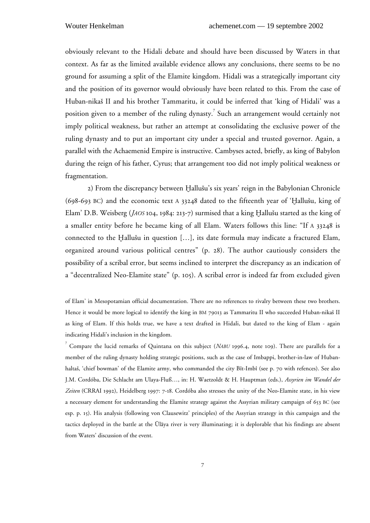obviously relevant to the Hidali debate and should have been discussed by Waters in that context. As far as the limited available evidence allows any conclusions, there seems to be no ground for assuming a split of the Elamite kingdom. Hidali was a strategically important city and the position of its governor would obviously have been related to this. From the case of Huban-nikas II and his brother Tammaritu, it could be inferred that 'king of Hidali' was a position given to a member of the ruling dynasty.<sup>7</sup> Such an arrangement would certainly not imply political weakness, but rather an attempt at consolidating the exclusive power of the ruling dynasty and to put an important city under a special and trusted governor. Again, a parallel with the Achaemenid Empire is instructive. Cambyses acted, briefly, as king of Babylon during the reign of his father, Cyrus; that arrangement too did not imply political weakness or fragmentation.

2) From the discrepancy between Hallusu's six years' reign in the Babylonian Chronicle (698-693 BC) and the economic text A 33248 dated to the fifteenth year of 'Hallusu, king of Elam' D.B. Weisberg (*JAOS* 104, 1984: 213-7) surmised that a king Hallusu started as the king of a smaller entity before he became king of all Elam. Waters follows this line: "If A 33248 is connected to the Hallusu in question […], its date formula may indicate a fractured Elam, organized around various political centres" (p. 28). The author cautiously considers the possibility of a scribal error, but seems inclined to interpret the discrepancy as an indication of a "decentralized Neo-Elamite state" (p. 105). A scribal error is indeed far from excluded given

of Elam' in Mesopotamian official documentation. There are no references to rivalry between these two brothers. Hence it would be more logical to identify the king in BM 79013 as Tammaritu II who succeeded Huban-nikas II as king of Elam. If this holds true, we have a text drafted in Hidali, but dated to the king of Elam - again indicating Hidali's inclusion in the kingdom.

<sup>7</sup> Compare the lucid remarks of Quintana on this subject (*NABU* 1996.4, note 109). There are parallels for a member of the ruling dynasty holding strategic positions, such as the case of Imbappi, brother-in-law of Hubanhaltas, 'chief bowman' of the Elamite army, who commanded the city Bît-Imbî (see p. 70 with refences). See also J.M. Cordóba, Die Schlacht am Ulaya-Fluß…, in: H. Waetzoldt & H. Hauptman (eds.), *Assyrien im Wandel der Zeiten* (CRRAI 1992), Heidelberg 1997: 7-18. Cordóba also stresses the unity of the Neo-Elamite state, in his view a necessary element for understanding the Elamite strategy against the Assyrian military campaign of 653 BC (see esp. p. 15). His analysis (following von Clausewitz' principles) of the Assyrian strategy in this campaign and the tactics deployed in the battle at the Ulaya river is very illuminating; it is deplorable that his findings are absent from Waters' discussion of the event.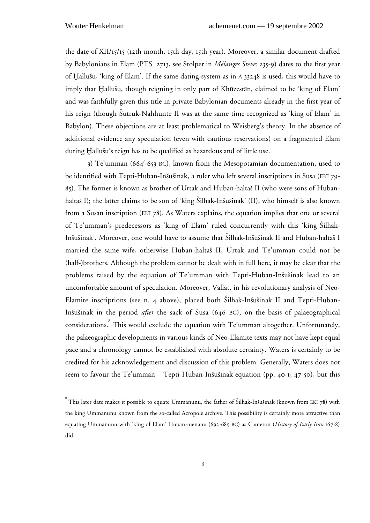the date of XII/15/15 (12th month, 15th day, 15th year). Moreover, a similar document drafted by Babylonians in Elam (PTS 2713, see Stolper in *Mélanges Steve*: 235-9) dates to the first year of Hallusu, 'king of Elam'. If the same dating-system as in A 33248 is used, this would have to imply that Hallušu, though reigning in only part of Khūzestān, claimed to be 'king of Elam' and was faithfully given this title in private Babylonian documents already in the first year of his reign (though Šutruk-Nahhunte II was at the same time recognized as 'king of Elam' in Babylon). These objections are at least problematical to Weisberg's theory. In the absence of additional evidence any speculation (even with cautious reservations) on a fragmented Elam during Hallusu's reign has to be qualified as hazardous and of little use.

3) Te'umman (664? -653 BC), known from the Mesopotamian documentation, used to be identified with Tepti-Huban-Inšušinak, a ruler who left several inscriptions in Susa (EKI 79-85). The former is known as brother of Urtak and Huban-haltas II (who were sons of Hubanhaltaš I); the latter claims to be son of 'king Šilhak-Inšušinak' (II), who himself is also known from a Susan inscription (EKI 78). As Waters explains, the equation implies that one or several of Te'umman's predecessors as 'king of Elam' ruled concurrently with this 'king Silhak-Insusinak'. Moreover, one would have to assume that Silhak-Insusinak II and Huban-haltas I married the same wife, otherwise Huban-haltas II, Urtak and Te'umman could not be (half-)brothers. Although the problem cannot be dealt with in full here, it may be clear that the problems raised by the equation of Te'umman with Tepti-Huban-Insusinak lead to an uncomfortable amount of speculation. Moreover, Vallat, in his revolutionary analysis of Neo-Elamite inscriptions (see n. 4 above), placed both Silhak-Insusinak II and Tepti-Huban-Insusinak in the period *after* the sack of Susa (646 BC), on the basis of palaeographical considerations.<sup>8</sup> This would exclude the equation with Te'umman altogether. Unfortunately, the palaeographic developments in various kinds of Neo-Elamite texts may not have kept equal pace and a chronology cannot be established with absolute certainty. Waters is certainly to be credited for his acknowledgement and discussion of this problem. Generally, Waters does not seem to favour the Te'umman – Tepti-Huban-Insusinak equation (pp. 40-1; 47-50), but this

 $^{\rm 8}$  This later date makes it possible to equate Ummanunu, the father of Šilhak-Inšušinak (known from EKI 78) with the king Ummanunu known from the so-called Acropole archive. This possibility is certainly more attractive than equating Ummanunu with 'king of Elam' Huban-menanu (692-689 BC) as Cameron (*History of Early Iran* 167-8) did.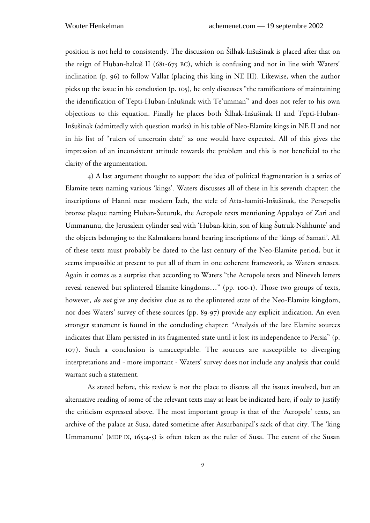position is not held to consistently. The discussion on Silhak-Insusinak is placed after that on the reign of Huban-haltas II (681-675 BC), which is confusing and not in line with Waters' inclination (p. 96) to follow Vallat (placing this king in NE III). Likewise, when the author picks up the issue in his conclusion (p. 105), he only discusses "the ramifications of maintaining the identification of Tepti-Huban-Insusinak with Te'umman" and does not refer to his own objections to this equation. Finally he places both Silhak-Insusinak II and Tepti-Huban-Insusinak (admittedly with question marks) in his table of Neo-Elamite kings in NE II and not in his list of "rulers of uncertain date" as one would have expected. All of this gives the impression of an inconsistent attitude towards the problem and this is not beneficial to the clarity of the argumentation.

4) A last argument thought to support the idea of political fragmentation is a series of Elamite texts naming various 'kings'. Waters discusses all of these in his seventh chapter: the inscriptions of Hanni near modern Izeh, the stele of Atta-hamiti-Insusinak, the Persepolis bronze plaque naming Huban-Suturuk, the Acropole texts mentioning Appalaya of Zari and Ummanunu, the Jerusalem cylinder seal with 'Huban-kitin, son of king Šutruk-Nahhunte' and the objects belonging to the Kalmakarra hoard bearing inscriptions of the 'kings of Samati'. All of these texts must probably be dated to the last century of the Neo-Elamite period, but it seems impossible at present to put all of them in one coherent framework, as Waters stresses. Again it comes as a surprise that according to Waters "the Acropole texts and Nineveh letters reveal renewed but splintered Elamite kingdoms…" (pp. 100-1). Those two groups of texts, however, *do not* give any decisive clue as to the splintered state of the Neo-Elamite kingdom, nor does Waters' survey of these sources (pp. 89-97) provide any explicit indication. An even stronger statement is found in the concluding chapter: "Analysis of the late Elamite sources indicates that Elam persisted in its fragmented state until it lost its independence to Persia" (p. 107). Such a conclusion is unacceptable. The sources are susceptible to diverging interpretations and - more important - Waters' survey does not include any analysis that could warrant such a statement.

As stated before, this review is not the place to discuss all the issues involved, but an alternative reading of some of the relevant texts may at least be indicated here, if only to justify the criticism expressed above. The most important group is that of the 'Acropole' texts, an archive of the palace at Susa, dated sometime after Assurbanipal's sack of that city. The 'king Ummanunu' (MDP IX, 165:4-5) is often taken as the ruler of Susa. The extent of the Susan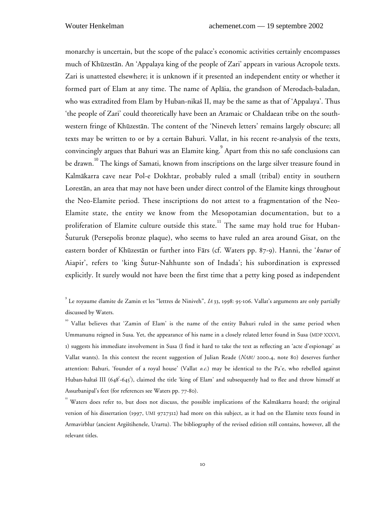monarchy is uncertain, but the scope of the palace's economic activities certainly encompasses much of Khūzestān. An 'Appalaya king of the people of Zari' appears in various Acropole texts. Zari is unattested elsewhere; it is unknown if it presented an independent entity or whether it formed part of Elam at any time. The name of Aplaia, the grandson of Merodach-baladan, who was extradited from Elam by Huban-nikas II, may be the same as that of 'Appalaya'. Thus 'the people of Zari' could theoretically have been an Aramaic or Chaldaean tribe on the southwestern fringe of Khūzestān. The content of the 'Nineveh letters' remains largely obscure; all texts may be written to or by a certain Bahuri. Vallat, in his recent re-analysis of the texts, convincingly argues that Bahuri was an Elamite king. Apart from this no safe conclusions can be drawn.<sup>10</sup> The kings of Samati, known from inscriptions on the large silver treasure found in Kalmakarra cave near Pol-e Dokhtar, probably ruled a small (tribal) entity in southern Lorestan, an area that may not have been under direct control of the Elamite kings throughout the Neo-Elamite period. These inscriptions do not attest to a fragmentation of the Neo-Elamite state, the entity we know from the Mesopotamian documentation, but to a proliferation of Elamite culture outside this state.<sup>11</sup> The same may hold true for Huban-Suturuk (Persepolis bronze plaque), who seems to have ruled an area around Gisat, on the eastern border of Khuzestan or further into Fars (cf. Waters pp. 87-9). Hanni, the '*kutur* of Aiapir', refers to 'king Sutur-Nahhunte son of Indada'; his subordination is expressed explicitly. It surely would not have been the first time that a petty king posed as independent

<sup>9</sup> Le royaume élamite de Zamin et les "lettres de Niniveh", *IA* 33, 1998: 95-106. Vallat's arguments are only partially discussed by Waters.

<sup>&</sup>lt;sup>10</sup> Vallat believes that 'Zamin of Elam' is the name of the entity Bahuri ruled in the same period when Ummanunu reigned in Susa. Yet, the appearance of his name in a closely related letter found in Susa (MDP XXXVI, 1) suggests his immediate involvement in Susa (I find it hard to take the text as reflecting an 'acte d'espionage' as Vallat wants). In this context the recent suggestion of Julian Reade (*NABU* 2000.4, note 80) deserves further attention: Bahuri, 'founder of a royal house' (Vallat *o.c.*) may be identical to the Pa'e, who rebelled against Huban-haltaš III (648<sup>2</sup>-645<sup>2</sup>), claimed the title 'king of Elam' and subsequently had to flee and throw himself at Assurbanipal's feet (for references see Waters pp. 77-80).

<sup>&</sup>lt;sup>11</sup> Waters does refer to, but does not discuss, the possible implications of the Kalmākarra hoard; the original version of his dissertation (1997, UMI 9727312) had more on this subject, as it had on the Elamite texts found in Armavirblur (ancient Argistihenele, Urartu). The bibliography of the revised edition still contains, however, all the relevant titles.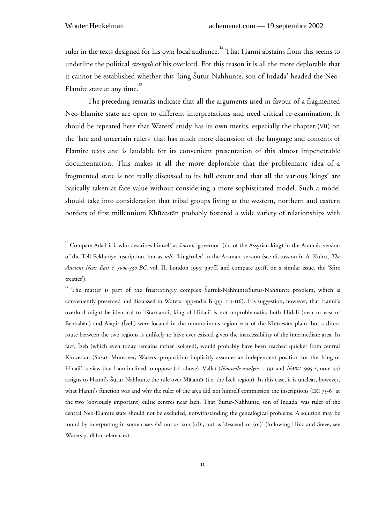ruler in the texts designed for his own local audience.<sup>12</sup> That Hanni abstains from this seems to underline the political *strength* of his overlord. For this reason it is all the more deplorable that it cannot be established whether this 'king Sutur-Nahhunte, son of Indada' headed the Neo-Elamite state at any time.<sup>13</sup>

The preceding remarks indicate that all the arguments used in favour of a fragmented Neo-Elamite state are open to different interpretations and need critical re-examination. It should be repeated here that Waters' study has its own merits, especially the chapter (VII) on the 'late and uncertain rulers' that has much more discussion of the language and contents of Elamite texts and is laudable for its convenient presentation of this almost impenetrable documentation. This makes it all the more deplorable that the problematic idea of a fragmented state is not really discussed to its full extent and that all the various 'kings' are basically taken at face value without considering a more sophisticated model. Such a model should take into consideration that tribal groups living at the western, northern and eastern borders of first millennium Khuzestan probably fostered a wide variety of relationships with

<sup>&</sup>lt;sup>12</sup> Compare Adad-it'i, who describes himself as šaknu, 'governor' (*i.c.* of the Assyrian king) in the Aramaic version of the Tell Fekheriye inscription, but as *mlk*, 'king/ruler' in the Aramaic version (see discussion in A. Kuhrt, *The Ancient Near East c. 3000-330 BC*, vol. II, London 1995: 397ff. and compare 491ff. on a similar issue, the 'Sfire treaties').

<sup>&</sup>lt;sup>13</sup> The matter is part of the frustratingly complex Šutruk-Nahhunte/Šutur-Nahhunte problem, which is conveniently presented and discussed in Waters' appendix B (pp. 111-116). His suggestion, however, that Hanni's overlord might be identical to 'Istarnandi, king of Hidali' is not unproblematic: both Hidali (near or east of Behbahan) and Aiapir (Izeh) were located in the mountainous region east of the Khuzestan plain, but a direct route between the two regions is unlikely to have ever existed given the inaccessibility of the intermediate area. In fact, Izeh (which even today remains rather isolated), would probably have been reached quicker from central Khuzestan (Susa). Moreover, Waters' proposition implicitly assumes an independent position for the 'king of Hidali', a view that I am inclined to oppose (cf. above). Vallat (*Nouvelle analyse…* 391 and *NABU* 1995.2, note 44) assigns to Hanni's Sutur-Nahhunte the rule over Malamir (i.e. the Izeh region). In this case, it is unclear, however, what Hanni's function was and why the ruler of the area did not himself commission the inscriptions (EKI 75-6) at the two (obviously important) cultic centres near Izeh. That 'Sutur-Nahhunte, son of Indada' was ruler of the central Neo-Elamite state should not be excluded, notwithstanding the genealogical problems. A solution may be found by interpreting in some cases šak not as 'son (of)', but as 'descendant (of)' (following Hinz and Steve; see Waters p. 18 for references).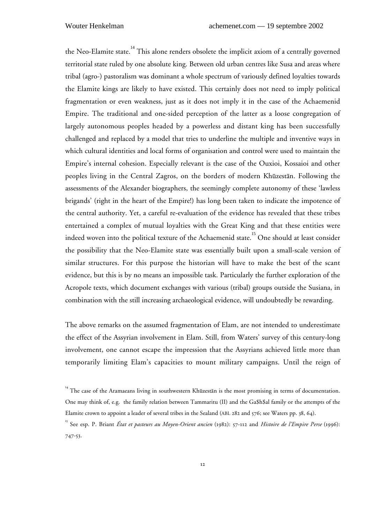the Neo-Elamite state.<sup>14</sup> This alone renders obsolete the implicit axiom of a centrally governed territorial state ruled by one absolute king. Between old urban centres like Susa and areas where tribal (agro-) pastoralism was dominant a whole spectrum of variously defined loyalties towards the Elamite kings are likely to have existed. This certainly does not need to imply political fragmentation or even weakness, just as it does not imply it in the case of the Achaemenid Empire. The traditional and one-sided perception of the latter as a loose congregation of largely autonomous peoples headed by a powerless and distant king has been successfully challenged and replaced by a model that tries to underline the multiple and inventive ways in which cultural identities and local forms of organisation and control were used to maintain the Empire's internal cohesion. Especially relevant is the case of the Ouxioi, Kossaioi and other peoples living in the Central Zagros, on the borders of modern Khuzestan. Following the assessments of the Alexander biographers, the seemingly complete autonomy of these 'lawless brigands' (right in the heart of the Empire!) has long been taken to indicate the impotence of the central authority. Yet, a careful re-evaluation of the evidence has revealed that these tribes entertained a complex of mutual loyalties with the Great King and that these entities were indeed woven into the political texture of the Achaemenid state.<sup>15</sup> One should at least consider the possibility that the Neo-Elamite state was essentially built upon a small-scale version of similar structures. For this purpose the historian will have to make the best of the scant evidence, but this is by no means an impossible task. Particularly the further exploration of the Acropole texts, which document exchanges with various (tribal) groups outside the Susiana, in combination with the still increasing archaeological evidence, will undoubtedly be rewarding.

The above remarks on the assumed fragmentation of Elam, are not intended to underestimate the effect of the Assyrian involvement in Elam. Still, from Waters' survey of this century-long involvement, one cannot escape the impression that the Assyrians achieved little more than temporarily limiting Elam's capacities to mount military campaigns. Until the reign of

<sup>&</sup>lt;sup>14</sup> The case of the Aramaeans living in southwestern Khūzestān is the most promising in terms of documentation. One may think of, e.g. the family relation between Tammaritu (II) and the Ga\$h\$al family or the attempts of the Elamite crown to appoint a leader of several tribes in the Sealand (ABL 282 and 576; see Waters pp. 38, 64).

<sup>15</sup> See esp. P. Briant *État et pasteurs au Moyen-Orient ancien* (1982): 57-112 and *Histoire de l'Empire Perse* (1996): 747-53.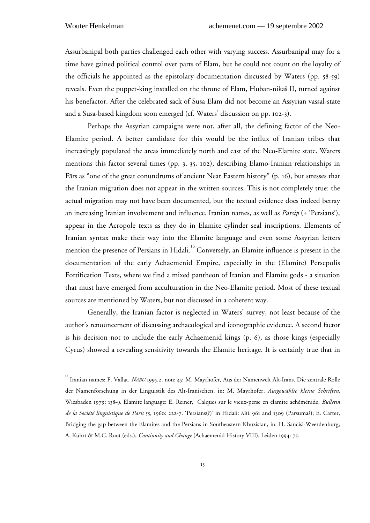Assurbanipal both parties challenged each other with varying success. Assurbanipal may for a time have gained political control over parts of Elam, but he could not count on the loyalty of the officials he appointed as the epistolary documentation discussed by Waters (pp. 58-59) reveals. Even the puppet-king installed on the throne of Elam, Huban-nikas II, turned against his benefactor. After the celebrated sack of Susa Elam did not become an Assyrian vassal-state and a Susa-based kingdom soon emerged (cf. Waters' discussion on pp. 102-3).

Perhaps the Assyrian campaigns were not, after all, the defining factor of the Neo-Elamite period. A better candidate for this would be the influx of Iranian tribes that increasingly populated the areas immediately north and east of the Neo-Elamite state. Waters mentions this factor several times (pp. 3, 35, 102), describing Elamo-Iranian relationships in Fars as "one of the great conundrums of ancient Near Eastern history" (p. 16), but stresses that the Iranian migration does not appear in the written sources. This is not completely true: the actual migration may not have been documented, but the textual evidence does indeed betray an increasing Iranian involvement and influence. Iranian names, as well as *Parsip* (± 'Persians'), appear in the Acropole texts as they do in Elamite cylinder seal inscriptions. Elements of Iranian syntax make their way into the Elamite language and even some Assyrian letters mention the presence of Persians in Hidali.<sup>16</sup> Conversely, an Elamite influence is present in the documentation of the early Achaemenid Empire, especially in the (Elamite) Persepolis Fortification Texts, where we find a mixed pantheon of Iranian and Elamite gods - a situation that must have emerged from acculturation in the Neo-Elamite period. Most of these textual sources are mentioned by Waters, but not discussed in a coherent way.

Generally, the Iranian factor is neglected in Waters' survey, not least because of the author's renouncement of discussing archaeological and iconographic evidence. A second factor is his decision not to include the early Achaemenid kings (p. 6), as those kings (especially Cyrus) showed a revealing sensitivity towards the Elamite heritage. It is certainly true that in

<sup>&</sup>lt;sup>16</sup> Iranian names: F. Vallat, *NABU* 1995.2, note 45; M. Mayrhofer, Aus der Namenwelt Alt-Irans. Die zentrale Rolle der Namenforschung in der Linguistik des Alt-Iranischen, in: M. Mayrhofer, *Ausgewählte kleine Schriften*, Wiesbaden 1979: 138-9. Elamite language: E. Reiner, Calques sur le vieux-perse en élamite achéménide, *Bulletin de la Société linguistique de Paris* 55, 1960: 222-7. 'Persians(?)' in Hidali: ABL 961 and 1309 (Parsumas); E. Carter, Bridging the gap between the Elamites and the Persians in Southeastern Khuzistan, in: H. Sancisi-Weerdenburg, A. Kuhrt & M.C. Root (eds.), *Continuity and Change* (Achaemenid History VIII), Leiden 1994: 75.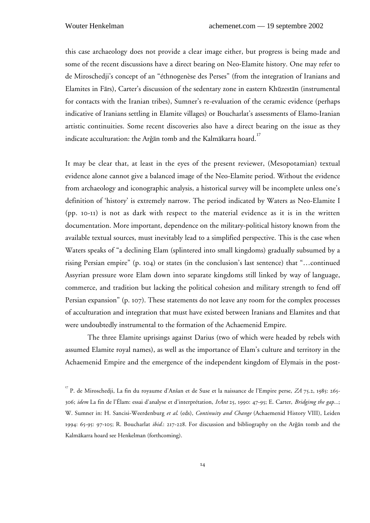this case archaeology does not provide a clear image either, but progress is being made and some of the recent discussions have a direct bearing on Neo-Elamite history. One may refer to de Miroschedji's concept of an "éthnogenèse des Perses" (from the integration of Iranians and Elamites in Fārs), Carter's discussion of the sedentary zone in eastern Khūzestān (instrumental for contacts with the Iranian tribes), Sumner's re-evaluation of the ceramic evidence (perhaps indicative of Iranians settling in Elamite villages) or Boucharlat's assessments of Elamo-Iranian artistic continuities. Some recent discoveries also have a direct bearing on the issue as they indicate acculturation: the Arǧān tomb and the Kalmākarra hoard.<sup>17</sup>

It may be clear that, at least in the eyes of the present reviewer, (Mesopotamian) textual evidence alone cannot give a balanced image of the Neo-Elamite period. Without the evidence from archaeology and iconographic analysis, a historical survey will be incomplete unless one's definition of 'history' is extremely narrow. The period indicated by Waters as Neo-Elamite I (pp. 10-11) is not as dark with respect to the material evidence as it is in the written documentation. More important, dependence on the military-political history known from the available textual sources, must inevitably lead to a simplified perspective. This is the case when Waters speaks of "a declining Elam (splintered into small kingdoms) gradually subsumed by a rising Persian empire" (p. 104) or states (in the conclusion's last sentence) that "…continued Assyrian pressure wore Elam down into separate kingdoms still linked by way of language, commerce, and tradition but lacking the political cohesion and military strength to fend off Persian expansion" (p. 107). These statements do not leave any room for the complex processes of acculturation and integration that must have existed between Iranians and Elamites and that were undoubtedly instrumental to the formation of the Achaemenid Empire.

The three Elamite uprisings against Darius (two of which were headed by rebels with assumed Elamite royal names), as well as the importance of Elam's culture and territory in the Achaemenid Empire and the emergence of the independent kingdom of Elymais in the post-

<sup>17</sup> P. de Miroschedji, La fin du royaume d'Ansan et de Suse et la naissance de l'Empire perse, *ZA* 75.2, 1985: 265- 306; *idem* La fin de l'Élam: essai d'analyse et d'interprétation, *IrAnt* 25, 1990: 47-95; E. Carter, *Bridgimg the gap...*; W. Sumner in: H. Sancisi-Weerdenburg *et al*. (eds), *Continuity and Change* (Achaemenid History VIII), Leiden 1994: 65-95: 97-105; R. Boucharlat *ibid.*: 217-228. For discussion and bibliography on the Argan tomb and the Kalmakarra hoard see Henkelman (forthcoming).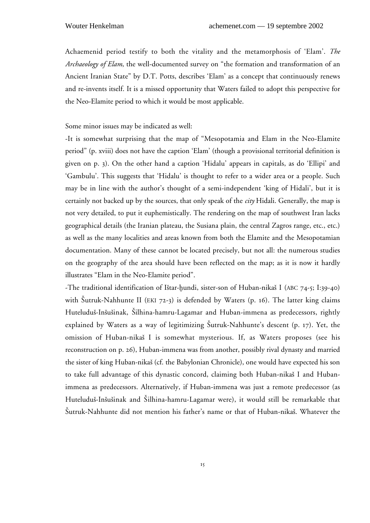Achaemenid period testify to both the vitality and the metamorphosis of 'Elam'. *The Archaeology of Elam*, the well-documented survey on "the formation and transformation of an Ancient Iranian State" by D.T. Potts, describes 'Elam' as a concept that continuously renews and re-invents itself. It is a missed opportunity that Waters failed to adopt this perspective for the Neo-Elamite period to which it would be most applicable.

Some minor issues may be indicated as well:

-It is somewhat surprising that the map of "Mesopotamia and Elam in the Neo-Elamite period" (p. xviii) does not have the caption 'Elam' (though a provisional territorial definition is given on p. 3). On the other hand a caption 'Hidalu' appears in capitals, as do 'Ellipi' and 'Gambulu'. This suggests that 'Hidalu' is thought to refer to a wider area or a people. Such may be in line with the author's thought of a semi-independent 'king of Hidali', but it is certainly not backed up by the sources, that only speak of the *city* Hidali. Generally, the map is not very detailed, to put it euphemistically. The rendering on the map of southwest Iran lacks geographical details (the Iranian plateau, the Susiana plain, the central Zagros range, etc., etc.) as well as the many localities and areas known from both the Elamite and the Mesopotamian documentation. Many of these cannot be located precisely, but not all: the numerous studies on the geography of the area should have been reflected on the map; as it is now it hardly illustrates "Elam in the Neo-Elamite period".

-The traditional identification of Istar-hundi, sister-son of Huban-nikas I (ABC 74-5; I:39-40) with Šutruk-Nahhunte II (EKI 72-3) is defended by Waters (p. 16). The latter king claims Huteludus-Insusinak, Silhina-hamru-Lagamar and Huban-immena as predecessors, rightly explained by Waters as a way of legitimizing Šutruk-Nahhunte's descent (p. 17). Yet, the omission of Huban-nikas I is somewhat mysterious. If, as Waters proposes (see his reconstruction on p. 26), Huban-immena was from another, possibly rival dynasty and married the sister of king Huban-nikas (cf. the Babylonian Chronicle), one would have expected his son to take full advantage of this dynastic concord, claiming both Huban-nikas I and Hubanimmena as predecessors. Alternatively, if Huban-immena was just a remote predecessor (as Huteludus-Insusinak and Silhina-hamru-Lagamar were), it would still be remarkable that Sutruk-Nahhunte did not mention his father's name or that of Huban-nikas. Whatever the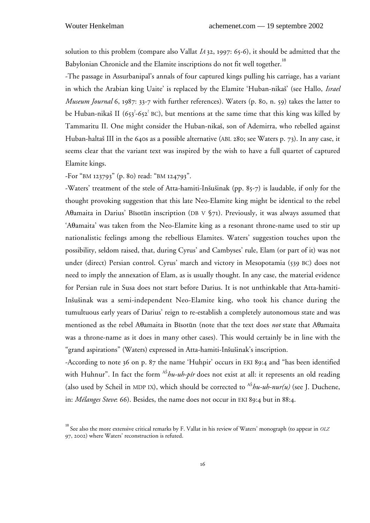solution to this problem (compare also Vallat *IA* 32, 1997: 65-6), it should be admitted that the Babylonian Chronicle and the Elamite inscriptions do not fit well together.<sup>18</sup>

-The passage in Assurbanipal's annals of four captured kings pulling his carriage, has a variant in which the Arabian king Uaite' is replaced by the Elamite 'Huban-nikas' (see Hallo, *Israel Museum Journal* 6, 1987: 33-7 with further references). Waters (p. 80, n. 59) takes the latter to be Huban-nikaš II (653 $^2$ -652 $^2$  BC), but mentions at the same time that this king was killed by Tammaritu II. One might consider the Huban-nikas, son of Ademirra, who rebelled against Huban-haltas III in the 640s as a possible alternative (ABL 280; see Waters p. 73). In any case, it seems clear that the variant text was inspired by the wish to have a full quartet of captured Elamite kings.

-For "BM 123793" (p. 80) read: "BM 124793".

-Waters' treatment of the stele of Atta-hamiti-Insusinak (pp. 85-7) is laudable, if only for the thought provoking suggestion that this late Neo-Elamite king might be identical to the rebel A $\theta$ amaita in Darius' Bīsotūn inscription (DB V  $\S$ 71). Previously, it was always assumed that 'Aθamaita' was taken from the Neo-Elamite king as a resonant throne-name used to stir up nationalistic feelings among the rebellious Elamites. Waters' suggestion touches upon the possibility, seldom raised, that, during Cyrus' and Cambyses' rule, Elam (or part of it) was not under (direct) Persian control. Cyrus' march and victory in Mesopotamia (539 BC) does not need to imply the annexation of Elam, as is usually thought. In any case, the material evidence for Persian rule in Susa does not start before Darius. It is not unthinkable that Atta-hamiti-Insusinak was a semi-independent Neo-Elamite king, who took his chance during the tumultuous early years of Darius' reign to re-establish a completely autonomous state and was mentioned as the rebel A<sub>0</sub>amaita in Bisotūn (note that the text does *not* state that A0amaita was a throne-name as it does in many other cases). This would certainly be in line with the "grand aspirations" (Waters) expressed in Atta-hamiti-Insusinak's inscription.

-According to note 36 on p. 87 the name 'Huhpir' occurs in EKI 89:4 and "has been identified with Huhnur". In fact the form <sup>AS</sup>*hu-uh-pír* does not exist at all: it represents an old reading (also used by Scheil in MDP IX), which should be corrected to <sup>AS</sup>hu-uh-nur(u) (see J. Duchene, in: *Mélanges Steve*: 66). Besides, the name does not occur in EKI 89:4 but in 88:4.

<sup>18</sup> See also the more extensive critical remarks by F. Vallat in his review of Waters' monograph (to appear in *OLZ* 97, 2002) where Waters' reconstruction is refuted.